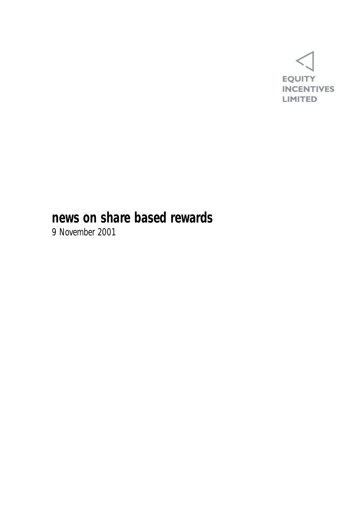

### **news on share based rewards**

9 November 2001